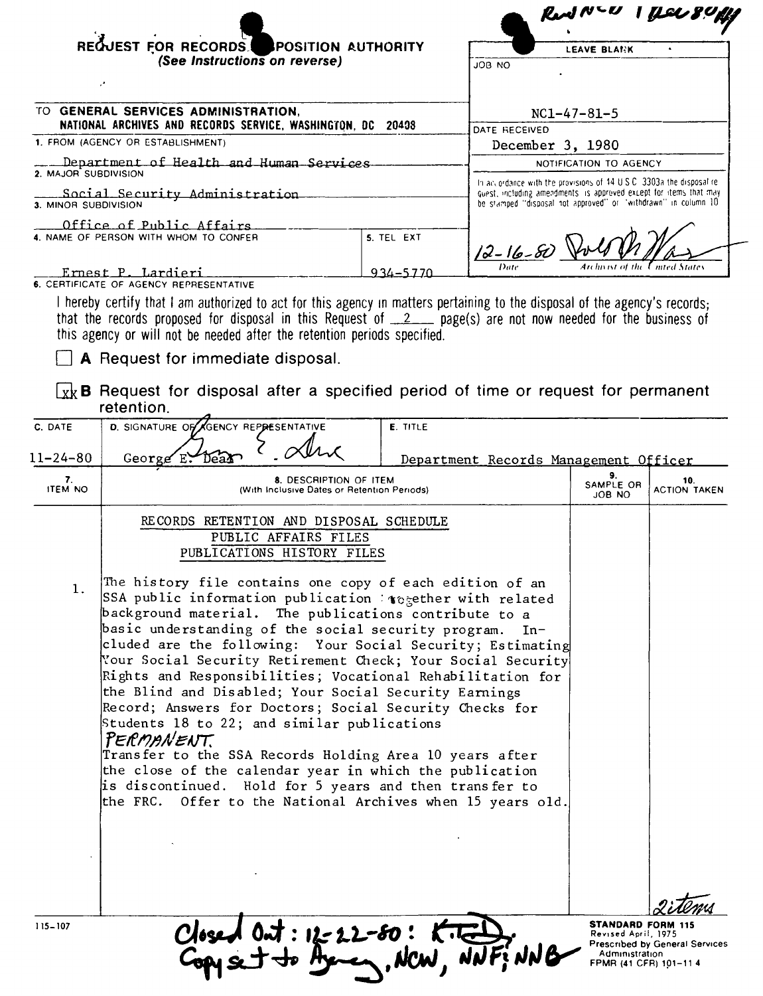|                                                                 | REQUEST FOR RECORDS<br>POSITION AUTHORITY<br>(See Instructions on reverse)                                                                                             |                                                            |                     | LEAVE BLANK                                                                                                                                                                                                  |                            |  |
|-----------------------------------------------------------------|------------------------------------------------------------------------------------------------------------------------------------------------------------------------|------------------------------------------------------------|---------------------|--------------------------------------------------------------------------------------------------------------------------------------------------------------------------------------------------------------|----------------------------|--|
|                                                                 |                                                                                                                                                                        |                                                            | OU BOL              |                                                                                                                                                                                                              |                            |  |
|                                                                 | TO GENERAL SERVICES ADMINISTRATION,                                                                                                                                    |                                                            |                     | $NC1-47-81-5$                                                                                                                                                                                                |                            |  |
| NATIONAL ARCHIVES AND RECORDS SERVICE, WASHINGTON, DC 20408     |                                                                                                                                                                        | DATE RECEIVED                                              |                     |                                                                                                                                                                                                              |                            |  |
|                                                                 | 1. FROM (AGENCY OR ESTABLISHMENT)                                                                                                                                      |                                                            |                     | December 3, 1980                                                                                                                                                                                             |                            |  |
| Department of Health and Human Services<br>2. MAJOR SUBDIVISION |                                                                                                                                                                        |                                                            |                     | NOTIFICATION TO AGENCY                                                                                                                                                                                       |                            |  |
| Social Security Administration<br>3. MINOR SUBDIVISION          |                                                                                                                                                                        |                                                            |                     | In accordance with the provisions of 14 U.S.C. 3303a the disposal re-<br>quest, including amendments is approved except for items that may<br>be stamped "disposal not approved" or "withdrawn" in column 10 |                            |  |
|                                                                 | Office of Public Affairs<br>4. NAME OF PERSON WITH WHOM TO CONFER                                                                                                      | 5. TEL EXT                                                 |                     |                                                                                                                                                                                                              |                            |  |
|                                                                 |                                                                                                                                                                        |                                                            | $12 - 16 - 80$ Volt |                                                                                                                                                                                                              |                            |  |
|                                                                 | Ernest P. Lardieri                                                                                                                                                     | 934–5770                                                   |                     |                                                                                                                                                                                                              |                            |  |
|                                                                 | 6. CERTIFICATE OF AGENCY REPRESENTATIVE<br>I hereby certify that I am authorized to act for this agency in matters pertaining to the disposal of the agency's records: |                                                            |                     |                                                                                                                                                                                                              |                            |  |
|                                                                 | <b>A</b> Request for immediate disposal.<br>$\vert_{x}$ B Request for disposal after a specified period of time or request for permanent<br>retention.                 |                                                            |                     |                                                                                                                                                                                                              |                            |  |
| C. DATE                                                         | D. SIGNATURE OF GENCY REPRESENTATIVE                                                                                                                                   | <b>E. TITLE</b>                                            |                     |                                                                                                                                                                                                              |                            |  |
| $11 - 24 - 80$                                                  |                                                                                                                                                                        |                                                            |                     |                                                                                                                                                                                                              |                            |  |
|                                                                 | George $E^{\bullet}$<br>Department Records Management Officer<br>9.                                                                                                    |                                                            |                     |                                                                                                                                                                                                              |                            |  |
| 7.<br><b>ITEM NO</b>                                            | 8. DESCRIPTION OF ITEM<br>(With Inclusive Dates or Retention Periods)                                                                                                  |                                                            |                     | SAMPLE OR<br>ON 8OL                                                                                                                                                                                          | 10.<br><b>ACTION TAKEN</b> |  |
|                                                                 | RECORDS RETENTION AND DISPOSAL SCHEDULE                                                                                                                                |                                                            |                     |                                                                                                                                                                                                              |                            |  |
|                                                                 | PUBLIC AFFAIRS FILES                                                                                                                                                   |                                                            |                     |                                                                                                                                                                                                              |                            |  |
|                                                                 | PUBLICATIONS HISTORY FILES                                                                                                                                             |                                                            |                     |                                                                                                                                                                                                              |                            |  |
| 1.                                                              | The history file contains one copy of each edition of an                                                                                                               |                                                            |                     |                                                                                                                                                                                                              |                            |  |
|                                                                 | SSA public information publication : $\epsilon$ egether with related                                                                                                   |                                                            |                     |                                                                                                                                                                                                              |                            |  |
|                                                                 | background material. The publications contribute to a                                                                                                                  |                                                            |                     |                                                                                                                                                                                                              |                            |  |
|                                                                 | basic understanding of the social security program.<br>$In-$<br>cluded are the following: Your Social Security; Estimating                                             |                                                            |                     |                                                                                                                                                                                                              |                            |  |
|                                                                 | Your Social Security Retirement Check; Your Social Security                                                                                                            |                                                            |                     |                                                                                                                                                                                                              |                            |  |
|                                                                 |                                                                                                                                                                        | Rights and Responsibilities; Vocational Rehabilitation for |                     |                                                                                                                                                                                                              |                            |  |
|                                                                 |                                                                                                                                                                        |                                                            |                     |                                                                                                                                                                                                              |                            |  |
|                                                                 | the Blind and Disabled; Your Social Security Earnings                                                                                                                  |                                                            |                     |                                                                                                                                                                                                              |                            |  |
|                                                                 | Record; Answers for Doctors; Social Security Checks for<br>Students 18 to 22; and similar publications                                                                 |                                                            |                     |                                                                                                                                                                                                              |                            |  |
|                                                                 | PERMANENT                                                                                                                                                              |                                                            |                     |                                                                                                                                                                                                              |                            |  |
|                                                                 | Transfer to the SSA Records Holding Area 10 years after                                                                                                                |                                                            |                     |                                                                                                                                                                                                              |                            |  |
|                                                                 | the close of the calendar year in which the publication                                                                                                                |                                                            |                     |                                                                                                                                                                                                              |                            |  |
|                                                                 | is discontinued. Hold for 5 years and then transfer to<br>the FRC. Offer to the National Archives when 15 years old.                                                   |                                                            |                     |                                                                                                                                                                                                              |                            |  |
|                                                                 |                                                                                                                                                                        |                                                            |                     |                                                                                                                                                                                                              |                            |  |
|                                                                 |                                                                                                                                                                        |                                                            |                     |                                                                                                                                                                                                              |                            |  |
|                                                                 |                                                                                                                                                                        |                                                            |                     |                                                                                                                                                                                                              |                            |  |
|                                                                 |                                                                                                                                                                        |                                                            |                     |                                                                                                                                                                                                              |                            |  |